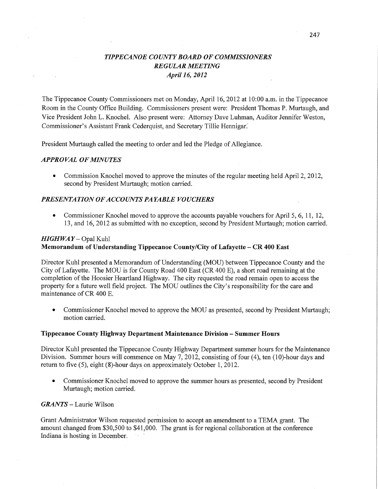# *TIPPECANOE* co *UNTYBOARD* OF *COMMISSIONERS REGULAR MEETING April* 16, *2012*

The Tippecanoe County Commissioners met on Monday, April 16, 2012 at 10:00 am. in the Tippecanoe Room in the County Office Building. Commissioners present were: President Thomas P. Murtaugh, and Vice President John L. Knochel. Also present were: Attorney Dave Luhman, Auditor Jennifer Weston, Commissioner's Assistant Frank Cederquist, and Secretary Tillie Hennigar.

President Murtaugh called the meeting to order and led the Pledge of Allegiance.

### *APPROVAL* OF *MINUTES*

• Commission Knochel moved to approve the minutes of the regular meeting held April 2, 2012, second by President Murtaugh; motion carried.

#### *PRESENTATION* OF *ACCOUNT S PAYABLE VOUCHERS*

**0** Commissioner Knochel moved to approve the accounts payfible vouchers for April 5, 6, 11, 12, 13, and 16, 2012 as submitted with no exception, second by President Murtaugh; motion carried.

## *HIGH* WAY **—** Opal Kuhl **Memorandum** of Understanding Tippecanoe **County/City** of **Lafayette** *—* CR 400 **East**

Director Kuhl presented a Memorandum of Understanding (MOU) between Tippecanoe County and the City of Lafayette. The MOU is for County Road 400 East (CR 400 E), a short road remaining at the completion of the Hoosier Heartland Highway. The city requested the road remain open to access the property for a future well field project. The MOU outlines the City's responsibility for the care and maintenance of CR 400 E.

**0** Commissioner Knochel moved to approve the MOU as presented, second by President Murtaugh; motion carried.

#### **Tippecanoe County Highway Department Maintenance** Division — **Summer Hours**

Director Kuhl presented the Tippecanoe County Highway Department summer hours for the Maintenance Division. Summer hours will commence on May 7,2012, consisting of four (4), ten (10)-hour days and return to five  $(5)$ , eight  $(8)$ -hour days on approximately October 1, 2012.

**0** Commissioner Knochel moved to approve the summer hours as presented, second by President Murtaugh; motion carried.

### *GRANTS* **—** Laurie Wilson

Grant Administrator Wilson requested permission to accept an amendment to a TEMA grant. The amount changed from \$30,500 to \$41,000. The grant is for regional collaboration at the conference Indiana is hosting in December.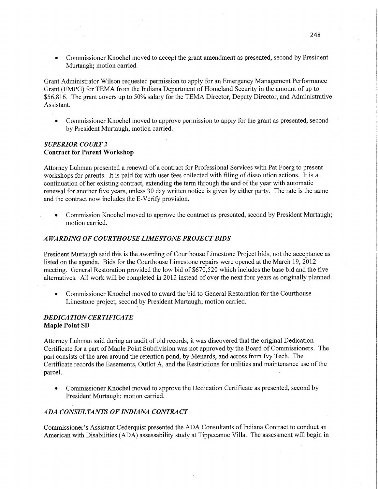**0** Commissioner Knochel moved to accept the grant amendment as presented, second by President Murtaugh; motion carried.

Grant Administrator Wilson requested permission to apply for an Emergency Management Performance Grant (EMPG) for TEMA from the Indiana Department of Homeland Security in the amount of up to \$56,816. The grant covers up to 50% salary for the TEMA Director, Deputy Director, and Administrative Assistant.

**0** Commissioner Knochel moved to approve perrhission to apply for the grant as presented, second by President Murtaugh; motion carried. '

### *SUPERIOR COURT 2*  **Contract** for **Parent Workshop**

Attorney Luhman presented a renewal of a contract for Professional Services with Pat Foerg to presen<sup>t</sup> workshops for parents. It is paid for with user fees collected with filing of dissolution actions. It is <sup>a</sup> continuation of her existing contract, extending the term through the end of the year with automatic renewal for another five years, unless 30 day written notice is given by either party. The rate is the same and the **contract** now includes the E-Verify provision.

**0** Commission Knochel moved to approve the contract as presented, second by President Murtaugh; motion carried.

### *A WARDING* 0F *COURTHOUSE LIMESTONE PROJECT BIDS*

President Murtaugh said this is the awarding of Courthouse Limestone Project bids, not the acceptance as listed on the agenda. Bids for the Courthouse Limestone repairs were opened at the March 19, 2012 meeting. General Restoration provided the low bid of \$670,520 which includes the base bid and the five alternatives. All work will be completed in 2012 instead of over the next four years as originally planned.

**0** Commissioner Knochel moved to award the bid to General Restoration for the Courthouse Limestone project, second by President Murtaugh; motion carried.

### *DEDiCA TION CERTIFICATE*  **Maple** Point SD

Attorney Luhman **said** during an audit of old records, it was discovered that the original Dedication Certificate for a part of Maple Point Subdivision was not approved by the Board of Commissioners. The part consists of the area around the retention pond, by Menards, and across from Ivy Tech. The Certificate records the Easements, Outlot A, and the Restrictions for utilities and maintenance use of the parcel. The contract of the contract of the contract of the contract of the contract of the contract of the contract of the contract of the contract of the contract of the contract of the contract of the contract of the co

• Commissioner Knochel moved to approve the Dedication Certificate as presented, second by President Murtaugh; motion carried.

### ADA *CONSULTANTS* 0F *INDL4NA CONTRACT*

Commissioner's Assistant Cederquist presented the ADA Consultants of Indiana Contract to conduct an American with Disabilities (ADA) assessability study at Tippecanoe Villa. The assessment will begin in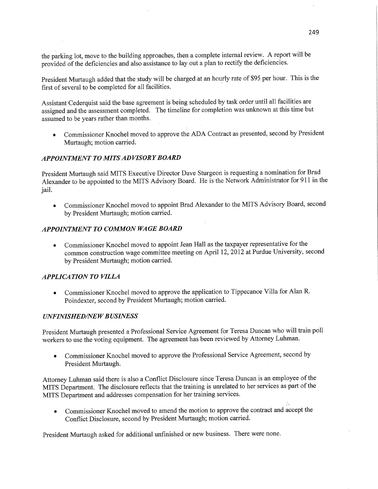the parking lot, move to the building approaches, then a complete internal review. A report will be provided of the deficiencies and also assistance to lay out a plan to rectify the deficiencies.

President Murtaugh added that the study will be charged at an hourly fate of \$95 per hour. **This** is the first of several to be completed for all facilities. *'* .

Assistant Cederquist said the base agreement is being scheduled by task order until all facilities are assigned and the assessment completed. The timeline for completion was **unknown** at this **time** but assumed to be years rather than months.

**<sup>0</sup>**Commissioner Knochel **moved** to approve the ADA Contract as presented, second by President **Murtaugh;** motion carried.

## *APPOINTMENT TO MITS ADVISORY BOARD*

President Murtaugh said MITS Executive Director Dave Sturgeon is requesting a nomination for Brad Alexander to be appointed to the MITS Advisory Board. He is the Network Administrator for 911 in the jail.

**<sup>0</sup>Commissioner** Knochel moved to appoint Brad Alexander to the **MITS** Advisory Board, second by President Murtaugh; **motion** carried.

#### *APPOINTMENT* T0 *COMMON* WA GE *BOARD*

**<sup>0</sup>**Commissioner Knochel moved to appoint Jean **Hall** as the taxpayer representative for the **common** construction wage committee **meeting** on **April** 12, 2012 at Purdue University, second by President Murtaugh; motion carried.

# *APPLICATION* TO *VILLA*

*<sup>0</sup>*Commissioner Knochel moved to approve the application to Tippecanoe Villa for **Alan** R. Poindexter, second by President Murtaugh; **motion** carried.

#### *UNFINISHEDflVE W B USINESS*

President Murtaugh presented a Professional Service Agreement for Teresa Duncan who will train poll workers to use the voting equipment. The agreement has been reviewed by Attorney **Luhman.** 

**•** Commissioner Knochel moved to approve the Professional Service Agreement, second by President Murtaugh.

Attorney Luhman said there is also a **Conflict** Disclosure since Teresa Duncan is an employee of the **MITS** Department. The disclosure reflects that the training is unrelated to her services as part of the MITS Department and addresses compensation for her training **services.** 

• Commissioner Knochel moved to amend the motion to approve the contract and accept the Conflict Disclosure, second by President Murtaugh; **motion** carried.

President Murtaugh asked for additional unfinished or new business. There were none.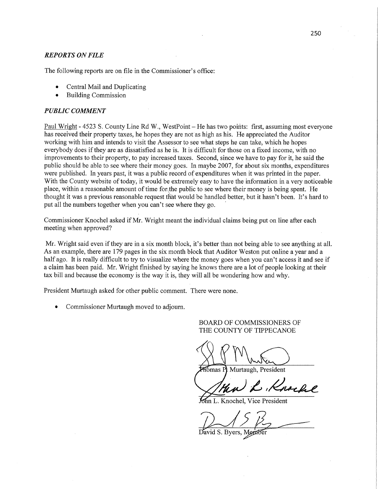### *REPORTS* ON *FILE*

The following reports are on file in the Commissioner's office:

- **0** Central Mail and Duplicating
- **0** Building Commission

#### *PUBLIC COMMENT*

Paul Wright *-* 4523 S. County Line Rd W., WestPoint *—* He has two poifits: first, assuming most everyone has received their property taxes, he hopes they are not'as high as his. He appreciated the Auditor working with him and intends to visit the Assessor to see what steps he can take, which he hopes everybody does if they are as dissatisfied as he **'is.** It is difficult for those on a fixed income, with no improvements to their property, to pay increased taxes. Second, since we have to pay for it, he said the public should be able to see where **their** money goes. In maybe 2007, for about six **months,** expenditures were published. In years past, it was a public record of expenditures when it was printed in the paper. With the County website of today, it would be extremely easy to have the information in a very noticeable place, within a reasonable amount of time for the public to see **Where** their money is being spent. He thought it was **a** previous reasonable request that would be handled better, but it hasn't been. **It's** hard to put all the numbers together when you can't see where they go.

Commissioner Knochel asked if Mr. Wright meant the individual claims being put on line after each meeting when approved?

Mr. Wright said even if they are in a six **month** block, it's better than not being able to see anything at all. As an example, there are 179 pages in the six month block that Auditor Weston put online a year and a half ago. It is really difficult to try to visualize where the money goes when you can't access it and see if <sup>a</sup>claim has been paid. Mr. Wright finished by saying he knows there are a lot of people looking at their tax bill and because the economy is the way it is, they will all be wondering how and why.

**President** Murtaugh asked for other public comment. There were **none.** 

**0** Commissioner **Murtaugh** moved to adjourn.

### BOARD OF COMMISSIONERS OF THE COUNTY OF **TIPPECANOE**

White )

homas Pl Murtaugh, President

C, Knock

**Knochel, Vice President** 

<u>/ 15 pm</u>

**David S. Byers,**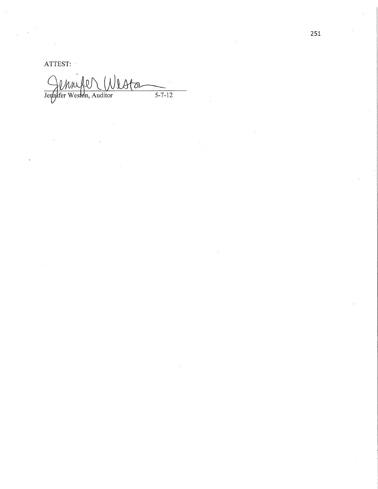ATTEST:

Jempifer Western, Auditor  $\frac{1}{5-7-12}$